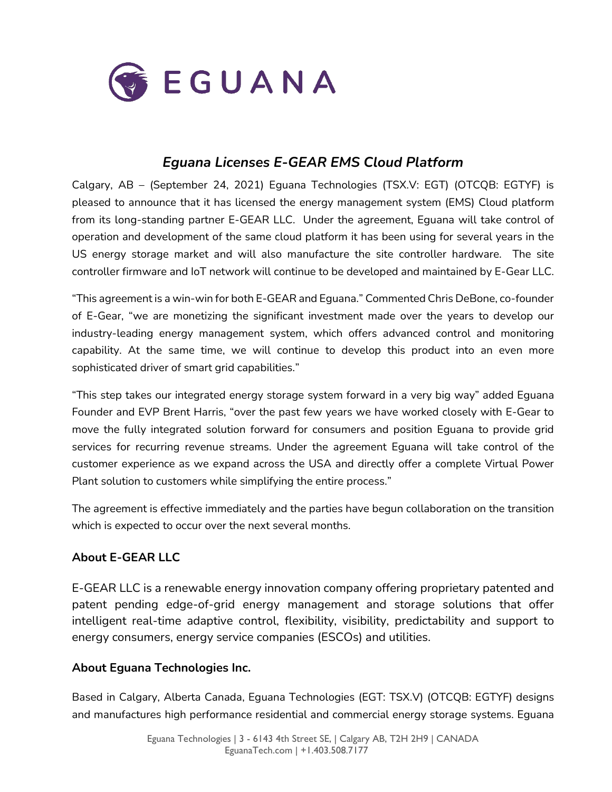

# *Eguana Licenses E-GEAR EMS Cloud Platform*

Calgary, AB – (September 24, 2021) Eguana Technologies (TSX.V: EGT) (OTCQB: EGTYF) is pleased to announce that it has licensed the energy management system (EMS) Cloud platform from its long-standing partner E-GEAR LLC. Under the agreement, Eguana will take control of operation and development of the same cloud platform it has been using for several years in the US energy storage market and will also manufacture the site controller hardware. The site controller firmware and IoT network will continue to be developed and maintained by E-Gear LLC.

"This agreement is a win-win for both E-GEAR and Eguana." Commented Chris DeBone, co-founder of E-Gear, "we are monetizing the significant investment made over the years to develop our industry-leading energy management system, which offers advanced control and monitoring capability. At the same time, we will continue to develop this product into an even more sophisticated driver of smart grid capabilities."

"This step takes our integrated energy storage system forward in a very big way" added Eguana Founder and EVP Brent Harris, "over the past few years we have worked closely with E-Gear to move the fully integrated solution forward for consumers and position Eguana to provide grid services for recurring revenue streams. Under the agreement Eguana will take control of the customer experience as we expand across the USA and directly offer a complete Virtual Power Plant solution to customers while simplifying the entire process."

The agreement is effective immediately and the parties have begun collaboration on the transition which is expected to occur over the next several months.

## **About E-GEAR LLC**

E-GEAR LLC is a renewable energy innovation company offering proprietary patented and patent pending edge-of-grid energy management and storage solutions that offer intelligent real-time adaptive control, flexibility, visibility, predictability and support to energy consumers, energy service companies (ESCOs) and utilities.

## **About Eguana Technologies Inc.**

Based in Calgary, Alberta Canada, Eguana Technologies (EGT: TSX.V) (OTCQB: EGTYF) designs and manufactures high performance residential and commercial energy storage systems. Eguana